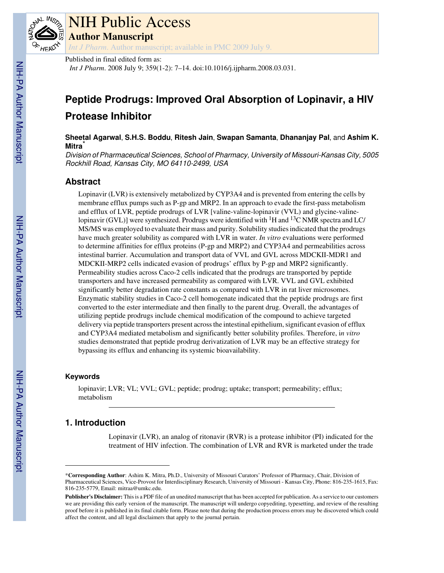

# NIH Public Access

**Author Manuscript**

*Int J Pharm*. Author manuscript; available in PMC 2009 July 9.

## Published in final edited form as:

*Int J Pharm*. 2008 July 9; 359(1-2): 7–14. doi:10.1016/j.ijpharm.2008.03.031.

## **Peptide Prodrugs: Improved Oral Absorption of Lopinavir, a HIV Protease Inhibitor**

**Sheetal Agarwal**, **S.H.S. Boddu**, **Ritesh Jain**, **Swapan Samanta**, **Dhananjay Pal**, and **Ashim K. Mitra**\*

Division of Pharmaceutical Sciences, School of Pharmacy, University of Missouri-Kansas City, 5005 Rockhill Road, Kansas City, MO 64110-2499, USA

## **Abstract**

Lopinavir (LVR) is extensively metabolized by CYP3A4 and is prevented from entering the cells by membrane efflux pumps such as P-gp and MRP2. In an approach to evade the first-pass metabolism and efflux of LVR, peptide prodrugs of LVR [valine-valine-lopinavir (VVL) and glycine-valinelopinavir (GVL)] were synthesized. Prodrugs were identified with  ${}^{1}H$  and  ${}^{13}C$  NMR spectra and LC/ MS/MS was employed to evaluate their mass and purity. Solubility studies indicated that the prodrugs have much greater solubility as compared with LVR in water. *In vitro* evaluations were performed to determine affinities for efflux proteins (P-gp and MRP2) and CYP3A4 and permeabilities across intestinal barrier. Accumulation and transport data of VVL and GVL across MDCKII-MDR1 and MDCKII-MRP2 cells indicated evasion of prodrugs' efflux by P-gp and MRP2 significantly. Permeability studies across Caco-2 cells indicated that the prodrugs are transported by peptide transporters and have increased permeability as compared with LVR. VVL and GVL exhibited significantly better degradation rate constants as compared with LVR in rat liver microsomes. Enzymatic stability studies in Caco-2 cell homogenate indicated that the peptide prodrugs are first converted to the ester intermediate and then finally to the parent drug. Overall, the advantages of utilizing peptide prodrugs include chemical modification of the compound to achieve targeted delivery via peptide transporters present across the intestinal epithelium, significant evasion of efflux and CYP3A4 mediated metabolism and significantly better solubility profiles. Therefore, i*n vitro* studies demonstrated that peptide prodrug derivatization of LVR may be an effective strategy for bypassing its efflux and enhancing its systemic bioavailability.

#### **Keywords**

lopinavir; LVR; VL; VVL; GVL; peptide; prodrug; uptake; transport; permeability; efflux; metabolism

## **1. Introduction**

Lopinavir (LVR), an analog of ritonavir (RVR) is a protease inhibitor (PI) indicated for the treatment of HIV infection. The combination of LVR and RVR is marketed under the trade

<sup>\*</sup>**Corresponding Author**: Ashim K. Mitra, Ph.D., University of Missouri Curators' Professor of Pharmacy, Chair, Division of Pharmaceutical Sciences, Vice-Provost for Interdisciplinary Research, University of Missouri - Kansas City, Phone: 816-235-1615, Fax: 816-235-5779, Email: mitraa@umkc.edu.

**Publisher's Disclaimer:** This is a PDF file of an unedited manuscript that has been accepted for publication. As a service to our customers we are providing this early version of the manuscript. The manuscript will undergo copyediting, typesetting, and review of the resulting proof before it is published in its final citable form. Please note that during the production process errors may be discovered which could affect the content, and all legal disclaimers that apply to the journal pertain.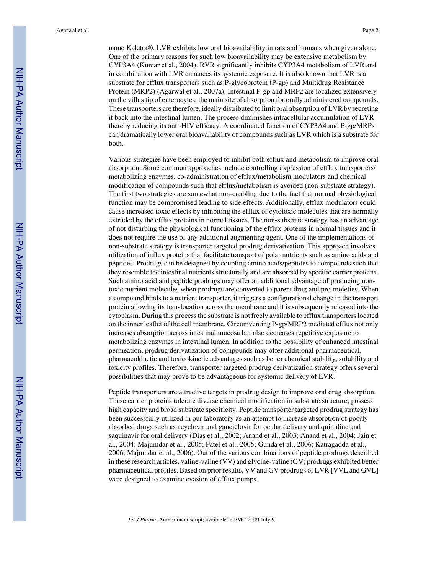name Kaletra®. LVR exhibits low oral bioavailability in rats and humans when given alone. One of the primary reasons for such low bioavailability may be extensive metabolism by CYP3A4 (Kumar et al., 2004). RVR significantly inhibits CYP3A4 metabolism of LVR and in combination with LVR enhances its systemic exposure. It is also known that LVR is a substrate for efflux transporters such as P-glycoprotein (P-gp) and Multidrug Resistance Protein (MRP2) (Agarwal et al., 2007a). Intestinal P-gp and MRP2 are localized extensively on the villus tip of enterocytes, the main site of absorption for orally administered compounds. These transporters are therefore, ideally distributed to limit oral absorption of LVR by secreting it back into the intestinal lumen. The process diminishes intracellular accumulation of LVR thereby reducing its anti-HIV efficacy. A coordinated function of CYP3A4 and P-gp/MRPs can dramatically lower oral bioavailability of compounds such as LVR which is a substrate for both.

Various strategies have been employed to inhibit both efflux and metabolism to improve oral absorption. Some common approaches include controlling expression of efflux transporters/ metabolizing enzymes, co-administration of efflux/metabolism modulators and chemical modification of compounds such that efflux/metabolism is avoided (non-substrate strategy). The first two strategies are somewhat non-enabling due to the fact that normal physiological function may be compromised leading to side effects. Additionally, efflux modulators could cause increased toxic effects by inhibiting the efflux of cytotoxic molecules that are normally extruded by the efflux proteins in normal tissues. The non-substrate strategy has an advantage of not disturbing the physiological functioning of the efflux proteins in normal tissues and it does not require the use of any additional augmenting agent. One of the implementations of non-substrate strategy is transporter targeted prodrug derivatization. This approach involves utilization of influx proteins that facilitate transport of polar nutrients such as amino acids and peptides. Prodrugs can be designed by coupling amino acids/peptides to compounds such that they resemble the intestinal nutrients structurally and are absorbed by specific carrier proteins. Such amino acid and peptide prodrugs may offer an additional advantage of producing nontoxic nutrient molecules when prodrugs are converted to parent drug and pro-moieties. When a compound binds to a nutrient transporter, it triggers a configurational change in the transport protein allowing its translocation across the membrane and it is subsequently released into the cytoplasm. During this process the substrate is not freely available to efflux transporters located on the inner leaflet of the cell membrane. Circumventing P-gp/MRP2 mediated efflux not only increases absorption across intestinal mucosa but also decreases repetitive exposure to metabolizing enzymes in intestinal lumen. In addition to the possibility of enhanced intestinal permeation, prodrug derivatization of compounds may offer additional pharmaceutical, pharmacokinetic and toxicokinetic advantages such as better chemical stability, solubility and toxicity profiles. Therefore, transporter targeted prodrug derivatization strategy offers several possibilities that may prove to be advantageous for systemic delivery of LVR.

Peptide transporters are attractive targets in prodrug design to improve oral drug absorption. These carrier proteins tolerate diverse chemical modification in substrate structure; possess high capacity and broad substrate specificity. Peptide transporter targeted prodrug strategy has been successfully utilized in our laboratory as an attempt to increase absorption of poorly absorbed drugs such as acyclovir and ganciclovir for ocular delivery and quinidine and saquinavir for oral delivery (Dias et al., 2002; Anand et al., 2003; Anand et al., 2004; Jain et al., 2004; Majumdar et al., 2005; Patel et al., 2005; Gunda et al., 2006; Katragadda et al., 2006; Majumdar et al., 2006). Out of the various combinations of peptide prodrugs described in these research articles, valine-valine (VV) and glycine-valine (GV) prodrugs exhibited better pharmaceutical profiles. Based on prior results, VV and GV prodrugs of LVR [VVL and GVL] were designed to examine evasion of efflux pumps.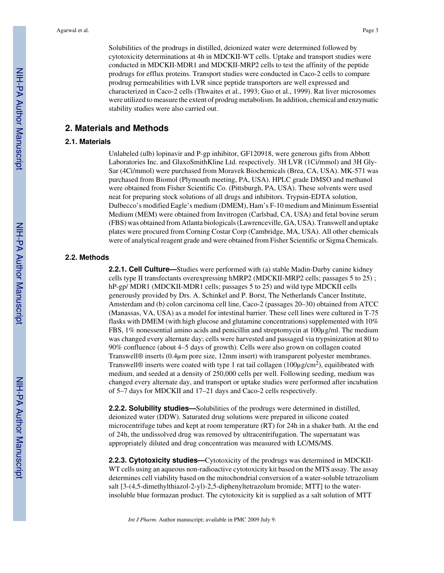Solubilities of the prodrugs in distilled, deionized water were determined followed by cytotoxicity determinations at 4h in MDCKII-WT cells. Uptake and transport studies were conducted in MDCKII-MDR1 and MDCKII-MRP2 cells to test the affinity of the peptide prodrugs for efflux proteins. Transport studies were conducted in Caco-2 cells to compare prodrug permeabilities with LVR since peptide transporters are well expressed and characterized in Caco-2 cells (Thwaites et al., 1993; Guo et al., 1999). Rat liver microsomes were utilized to measure the extent of prodrug metabolism. In addition, chemical and enzymatic stability studies were also carried out.

## **2. Materials and Methods**

#### **2.1. Materials**

Unlabeled (ulb) lopinavir and P-gp inhibitor, GF120918, were generous gifts from Abbott Laboratories Inc. and GlaxoSmithKline Ltd. respectively. 3H LVR (1Ci/mmol) and 3H Gly-Sar (4Ci/mmol) were purchased from Moravek Biochemicals (Brea, CA, USA). MK-571 was purchased from Biomol (Plymouth meeting, PA, USA). HPLC grade DMSO and methanol were obtained from Fisher Scientific Co. (Pittsburgh, PA, USA). These solvents were used neat for preparing stock solutions of all drugs and inhibitors. Trypsin-EDTA solution, Dulbecco's modified Eagle's medium (DMEM), Ham's F-10 medium and Minimum Essential Medium (MEM) were obtained from Invitrogen (Carlsbad, CA, USA) and fetal bovine serum (FBS) was obtained from Atlanta biologicals (Lawrenceville, GA, USA). Transwell and uptake plates were procured from Corning Costar Corp (Cambridge, MA, USA). All other chemicals were of analytical reagent grade and were obtained from Fisher Scientific or Sigma Chemicals.

#### **2.2. Methods**

**2.2.1. Cell Culture—**Studies were performed with (a) stable Madin-Darby canine kidney cells type II transfectants overexpressing hMRP2 (MDCKII-MRP2 cells; passages 5 to 25) ; hP-gp/ MDR1 (MDCKII-MDR1 cells; passages 5 to 25) and wild type MDCKII cells generously provided by Drs. A. Schinkel and P. Borst, The Netherlands Cancer Institute, Amsterdam and (b) colon carcinoma cell line, Caco-2 (passages 20–30) obtained from ATCC (Manassas, VA, USA) as a model for intestinal barrier. These cell lines were cultured in T-75 flasks with DMEM (with high glucose and glutamine concentrations) supplemented with 10% FBS, 1% nonessential amino acids and penicillin and streptomycin at 100µg/ml. The medium was changed every alternate day; cells were harvested and passaged via trypsinization at 80 to 90% confluence (about 4–5 days of growth). Cells were also grown on collagen coated Transwell® inserts (0.4µm pore size, 12mm insert) with transparent polyester membranes. Transwell® inserts were coated with type 1 rat tail collagen (100µg/cm<sup>2</sup>), equilibrated with medium, and seeded at a density of 250,000 cells per well. Following seeding, medium was changed every alternate day, and transport or uptake studies were performed after incubation of 5–7 days for MDCKII and 17–21 days and Caco-2 cells respectively.

**2.2.2. Solubility studies—**Solubilities of the prodrugs were determined in distilled, deionized water (DDW). Saturated drug solutions were prepared in silicone coated microcentrifuge tubes and kept at room temperature (RT) for 24h in a shaker bath. At the end of 24h, the undissolved drug was removed by ultracentrifugation. The supernatant was appropriately diluted and drug concentration was measured with LC/MS/MS.

**2.2.3. Cytotoxicity studies—**Cytotoxicity of the prodrugs was determined in MDCKII-WT cells using an aqueous non-radioactive cytotoxicity kit based on the MTS assay. The assay determines cell viability based on the mitochondrial conversion of a water-soluble tetrazolium salt [3-(4,5-dimethylthiazol-2-yl)-2,5-diphenyltetrazolum bromide; MTT] to the waterinsoluble blue formazan product. The cytotoxicity kit is supplied as a salt solution of MTT

*Int J Pharm*. Author manuscript; available in PMC 2009 July 9.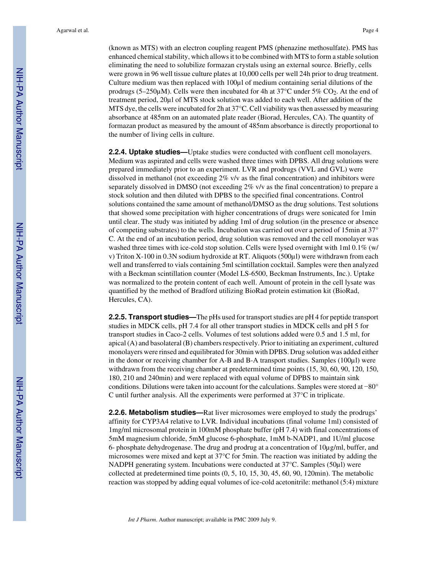Agarwal et al. Page 4

(known as MTS) with an electron coupling reagent PMS (phenazine methosulfate). PMS has enhanced chemical stability, which allows it to be combined with MTS to form a stable solution eliminating the need to solubilize formazan crystals using an external source. Briefly, cells were grown in 96 well tissue culture plates at 10,000 cells per well 24h prior to drug treatment. Culture medium was then replaced with 100µl of medium containing serial dilutions of the prodrugs (5–250 $\mu$ M). Cells were then incubated for 4h at 37°C under 5% CO<sub>2</sub>. At the end of treatment period, 20µl of MTS stock solution was added to each well. After addition of the MTS dye, the cells were incubated for 2h at 37°C. Cell viability was then assessed by measuring absorbance at 485nm on an automated plate reader (Biorad, Hercules, CA). The quantity of formazan product as measured by the amount of 485nm absorbance is directly proportional to the number of living cells in culture.

**2.2.4. Uptake studies—**Uptake studies were conducted with confluent cell monolayers. Medium was aspirated and cells were washed three times with DPBS. All drug solutions were prepared immediately prior to an experiment. LVR and prodrugs (VVL and GVL) were dissolved in methanol (not exceeding 2% v/v as the final concentration) and inhibitors were separately dissolved in DMSO (not exceeding 2% v/v as the final concentration) to prepare a stock solution and then diluted with DPBS to the specified final concentrations. Control solutions contained the same amount of methanol/DMSO as the drug solutions. Test solutions that showed some precipitation with higher concentrations of drugs were sonicated for 1min until clear. The study was initiated by adding 1ml of drug solution (in the presence or absence of competing substrates) to the wells. Incubation was carried out over a period of 15min at 37° C. At the end of an incubation period, drug solution was removed and the cell monolayer was washed three times with ice-cold stop solution. Cells were lysed overnight with  $1 \text{ ml } 0.1\%$  (w/ v) Triton X-100 in 0.3N sodium hydroxide at RT. Aliquots (500µl) were withdrawn from each well and transferred to vials containing 5ml scintillation cocktail. Samples were then analyzed with a Beckman scintillation counter (Model LS-6500, Beckman Instruments, Inc.). Uptake was normalized to the protein content of each well. Amount of protein in the cell lysate was quantified by the method of Bradford utilizing BioRad protein estimation kit (BioRad, Hercules, CA).

**2.2.5. Transport studies—**The pHs used for transport studies are pH 4 for peptide transport studies in MDCK cells, pH 7.4 for all other transport studies in MDCK cells and pH 5 for transport studies in Caco-2 cells. Volumes of test solutions added were 0.5 and 1.5 ml, for apical (A) and basolateral (B) chambers respectively. Prior to initiating an experiment, cultured monolayers were rinsed and equilibrated for 30min with DPBS. Drug solution was added either in the donor or receiving chamber for A-B and B-A transport studies. Samples (100µl) were withdrawn from the receiving chamber at predetermined time points (15, 30, 60, 90, 120, 150, 180, 210 and 240min) and were replaced with equal volume of DPBS to maintain sink conditions. Dilutions were taken into account for the calculations. Samples were stored at −80° C until further analysis. All the experiments were performed at 37°C in triplicate.

**2.2.6. Metabolism studies—**Rat liver microsomes were employed to study the prodrugs' affinity for CYP3A4 relative to LVR. Individual incubations (final volume 1ml) consisted of 1mg/ml microsomal protein in 100mM phosphate buffer (pH 7.4) with final concentrations of 5mM magnesium chloride, 5mM glucose 6-phosphate, 1mM b-NADP1, and 1U/ml glucose 6- phosphate dehydrogenase. The drug and prodrug at a concentration of 10µg/ml, buffer, and microsomes were mixed and kept at 37°C for 5min. The reaction was initiated by adding the NADPH generating system. Incubations were conducted at 37°C. Samples (50µl) were collected at predetermined time points (0, 5, 10, 15, 30, 45, 60, 90, 120min). The metabolic reaction was stopped by adding equal volumes of ice-cold acetonitrile: methanol (5:4) mixture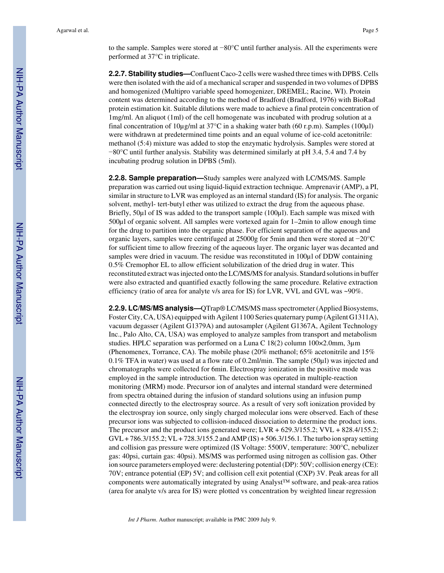to the sample. Samples were stored at −80°C until further analysis. All the experiments were performed at 37°C in triplicate.

**2.2.7. Stability studies—**Confluent Caco-2 cells were washed three times with DPBS. Cells were then isolated with the aid of a mechanical scraper and suspended in two volumes of DPBS and homogenized (Multipro variable speed homogenizer, DREMEL; Racine, WI). Protein content was determined according to the method of Bradford (Bradford, 1976) with BioRad protein estimation kit. Suitable dilutions were made to achieve a final protein concentration of 1mg/ml. An aliquot (1ml) of the cell homogenate was incubated with prodrug solution at a final concentration of  $10\mu\text{g/ml}$  at  $37^{\circ}\text{C}$  in a shaking water bath (60 r.p.m). Samples (100 $\mu$ l) were withdrawn at predetermined time points and an equal volume of ice-cold acetonitrile: methanol (5:4) mixture was added to stop the enzymatic hydrolysis. Samples were stored at −80°C until further analysis. Stability was determined similarly at pH 3.4, 5.4 and 7.4 by incubating prodrug solution in DPBS (5ml).

**2.2.8. Sample preparation—**Study samples were analyzed with LC/MS/MS. Sample preparation was carried out using liquid-liquid extraction technique. Amprenavir (AMP), a PI, similar in structure to LVR was employed as an internal standard (IS) for analysis. The organic solvent, methyl- tert-butyl ether was utilized to extract the drug from the aqueous phase. Briefly, 50µl of IS was added to the transport sample (100µl). Each sample was mixed with 500µl of organic solvent. All samples were vortexed again for 1–2min to allow enough time for the drug to partition into the organic phase. For efficient separation of the aqueous and organic layers, samples were centrifuged at 25000g for 5min and then were stored at −20°C for sufficient time to allow freezing of the aqueous layer. The organic layer was decanted and samples were dried in vacuum. The residue was reconstituted in 100 $\mu$ l of DDW containing 0.5% Cremophor EL to allow efficient solubilization of the dried drug in water. This reconstituted extract was injected onto the LC/MS/MS for analysis. Standard solutions in buffer were also extracted and quantified exactly following the same procedure. Relative extraction efficiency (ratio of area for analyte v/s area for IS) for LVR, VVL and GVL was ~90%.

**2.2.9. LC/MS/MS analysis—**QTrap® LC/MS/MS mass spectrometer (Applied Biosystems, Foster City, CA, USA) equipped with Agilent 1100 Series quaternary pump (Agilent G1311A), vacuum degasser (Agilent G1379A) and autosampler (Agilent G1367A, Agilent Technology Inc., Palo Alto, CA, USA) was employed to analyze samples from transport and metabolism studies. HPLC separation was performed on a Luna C 18(2) column 100×2.0mm, 3µm (Phenomenex, Torrance, CA). The mobile phase (20% methanol; 65% acetonitrile and 15% 0.1% TFA in water) was used at a flow rate of 0.2ml/min. The sample (50µl) was injected and chromatographs were collected for 6min. Electrospray ionization in the positive mode was employed in the sample introduction. The detection was operated in multiple-reaction monitoring (MRM) mode. Precursor ion of analytes and internal standard were determined from spectra obtained during the infusion of standard solutions using an infusion pump connected directly to the electrospray source. As a result of very soft ionization provided by the electrospray ion source, only singly charged molecular ions were observed. Each of these precursor ions was subjected to collision-induced dissociation to determine the product ions. The precursor and the product ions generated were; LVR + 629.3/155.2; VVL + 828.4/155.2;  $GVL + 786.3/155.2$ ;  $VL + 728.3/155.2$  and  $AMP (IS) + 506.3/156.1$ . The turbo ion spray setting and collision gas pressure were optimized (IS Voltage: 5500V, temperature: 300°C, nebulizer gas: 40psi, curtain gas: 40psi). MS/MS was performed using nitrogen as collision gas. Other ion source parameters employed were: declustering potential (DP): 50V; collision energy (CE): 70V; entrance potential (EP) 5V; and collision cell exit potential (CXP) 3V. Peak areas for all components were automatically integrated by using Analyst<sup>™</sup> software, and peak-area ratios (area for analyte v/s area for IS) were plotted vs concentration by weighted linear regression

*Int J Pharm*. Author manuscript; available in PMC 2009 July 9.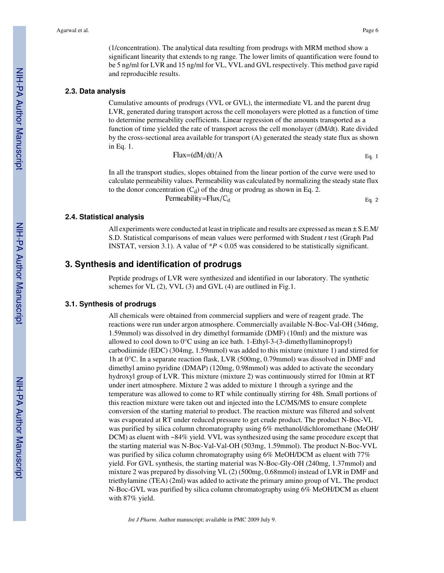(1/concentration). The analytical data resulting from prodrugs with MRM method show a significant linearity that extends to ng range. The lower limits of quantification were found to be 5 ng/ml for LVR and 15 ng/ml for VL, VVL and GVL respectively. This method gave rapid and reproducible results.

#### **2.3. Data analysis**

Cumulative amounts of prodrugs (VVL or GVL), the intermediate VL and the parent drug LVR, generated during transport across the cell monolayers were plotted as a function of time to determine permeability coefficients. Linear regression of the amounts transported as a function of time yielded the rate of transport across the cell monolayer (dM/dt). Rate divided by the cross-sectional area available for transport (A) generated the steady state flux as shown in Eq. 1. F

$$
[lux=(dM/dt)/A \qquad \qquad Eq. 1]
$$

In all the transport studies, slopes obtained from the linear portion of the curve were used to calculate permeability values. Permeability was calculated by normalizing the steady state flux to the donor concentration  $(C_d)$  of the drug or prodrug as shown in Eq. 2.<br>Permeability=Flux/ $C_d$ Eq. 2

#### **2.4. Statistical analysis**

All experiments were conducted at least in triplicate and results are expressed as mean  $\pm$  S.E.M/ S.D. Statistical comparisons of mean values were performed with Student *t* test (Graph Pad INSTAT, version 3.1). A value of  $*P < 0.05$  was considered to be statistically significant.

## **3. Synthesis and identification of prodrugs**

Peptide prodrugs of LVR were synthesized and identified in our laboratory. The synthetic schemes for VL (2), VVL (3) and GVL (4) are outlined in Fig.1.

#### **3.1. Synthesis of prodrugs**

All chemicals were obtained from commercial suppliers and were of reagent grade. The reactions were run under argon atmosphere. Commercially available N-Boc-Val-OH (346mg, 1.59mmol) was dissolved in dry dimethyl formamide (DMF) (10ml) and the mixture was allowed to cool down to  $0^{\circ}$ C using an ice bath. 1-Ethyl-3-(3-dimethyllaminopropyl) carbodiimide (EDC) (304mg, 1.59mmol) was added to this mixture (mixture 1) and stirred for 1h at 0°C. In a separate reaction flask, LVR (500mg, 0.79mmol) was dissolved in DMF and dimethyl amino pyridine (DMAP) (120mg, 0.98mmol) was added to activate the secondary hydroxyl group of LVR. This mixture (mixture 2) was continuously stirred for 10min at RT under inert atmosphere. Mixture 2 was added to mixture 1 through a syringe and the temperature was allowed to come to RT while continually stirring for 48h. Small portions of this reaction mixture were taken out and injected into the LC/MS/MS to ensure complete conversion of the starting material to product. The reaction mixture was filtered and solvent was evaporated at RT under reduced pressure to get crude product. The product N-Boc-VL was purified by silica column chromatography using 6% methanol/dichloromethane (MeOH/ DCM) as eluent with ~84% yield. VVL was synthesized using the same procedure except that the starting material was N-Boc-Val-Val-OH (503mg, 1.59mmol). The product N-Boc-VVL was purified by silica column chromatography using 6% MeOH/DCM as eluent with 77% yield. For GVL synthesis, the starting material was N-Boc-Gly-OH (240mg, 1.37mmol) and mixture 2 was prepared by dissolving VL (2) (500mg, 0.68mmol) instead of LVR in DMF and triethylamine (TEA) (2ml) was added to activate the primary amino group of VL. The product N-Boc-GVL was purified by silica column chromatography using 6% MeOH/DCM as eluent with 87% yield.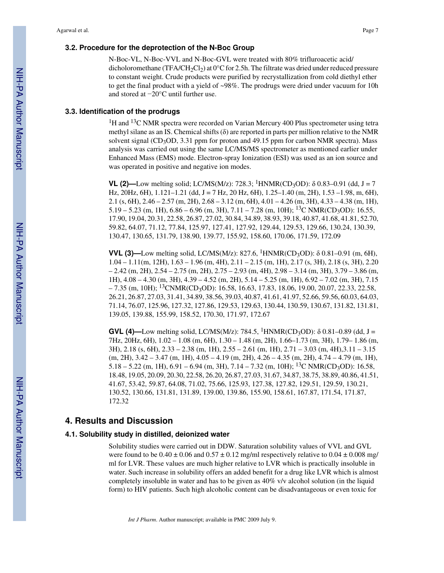N-Boc-VL, N-Boc-VVL and N-Boc-GVL were treated with 80% trifluroacetic acid/ dicholoromethane (TFA/CH<sub>2</sub>Cl<sub>2</sub>) at  $0^{\circ}$ C for 2.5h. The filtrate was dried under reduced pressure to constant weight. Crude products were purified by recrystallization from cold diethyl ether to get the final product with a yield of ~98%. The prodrugs were dried under vacuum for 10h and stored at −20°C until further use.

## **3.3. Identification of the prodrugs**

<sup>1</sup>H and <sup>13</sup>C NMR spectra were recorded on Varian Mercury 400 Plus spectrometer using tetra methyl silane as an IS. Chemical shifts  $(\delta)$  are reported in parts per million relative to the NMR solvent signal (CD<sub>3</sub>OD, 3.31 ppm for proton and 49.15 ppm for carbon NMR spectra). Mass analysis was carried out using the same LC/MS/MS spectrometer as mentioned earlier under Enhanced Mass (EMS) mode. Electron-spray Ionization (ESI) was used as an ion source and was operated in positive and negative ion modes.

**VL (2)—Low melting solid; LC/MS(M/z): 728.3; <sup>1</sup>HNMR(CD<sub>3</sub>OD):**  $\delta$  **0.83–0.91 (dd, J = 7** Hz, 20Hz, 6H),  $1.121-1.21$  (dd, J = 7 Hz, 20 Hz, 6H),  $1.25-1.40$  (m, 2H),  $1.53-1.98$ , m, 6H), 2.1 (s, 6H), 2.46 – 2.57 (m, 2H), 2.68 – 3.12 (m, 6H), 4.01 – 4.26 (m, 3H), 4.33 – 4.38 (m, 1H),  $5.19 - 5.23$  (m, 1H),  $6.86 - 6.96$  (m, 3H),  $7.11 - 7.28$  (m, 10H); <sup>13</sup>C NMR(CD<sub>3</sub>OD): 16.55, 17.90, 19.04, 20.31, 22.58, 26.87, 27.02, 30.84, 34.89, 38.93, 39.18, 40.87, 41.68, 41.81, 52.70, 59.82, 64.07, 71.12, 77.84, 125.97, 127.41, 127.92, 129.44, 129.53, 129.66, 130.24, 130.39, 130.47, 130.65, 131.79, 138.90, 139.77, 155.92, 158.60, 170.06, 171.59, 172.09

**VVL (3)—Low melting solid, LC/MS(M/z): 827.6, <sup>1</sup>HNMR(CD<sub>3</sub>OD): δ 0.81–0.91 (m, 6H),** 1.04 – 1.11(m, 12H), 1.63 – 1.96 (m, 4H), 2.11 – 2.15 (m, 1H), 2.17 (s, 3H), 2.18 (s, 3H), 2.20  $-2.42$  (m, 2H),  $2.54 - 2.75$  (m, 2H),  $2.75 - 2.93$  (m, 4H),  $2.98 - 3.14$  (m, 3H),  $3.79 - 3.86$  (m, 1H), 4.08 – 4.30 (m, 3H), 4.39 – 4.52 (m, 2H), 5.14 – 5.25 (m, 1H), 6.92 – 7.02 (m, 3H), 7.15  $-7.35$  (m, 10H); <sup>13</sup>CNMR(CD<sub>3</sub>OD): 16.58, 16.63, 17.83, 18.06, 19.00, 20.07, 22.33, 22.58, 26.21, 26.87, 27.03, 31.41, 34.89, 38.56, 39.03, 40.87, 41.61, 41.97, 52.66, 59.56, 60.03, 64.03, 71.14, 76.07, 125.96, 127.32, 127.86, 129.53, 129.63, 130.44, 130.59, 130.67, 131.82, 131.81, 139.05, 139.88, 155.99, 158.52, 170.30, 171.97, 172.67

**GVL (4)—Low melting solid, LC/MS(M/z): 784.5, <sup>1</sup>HNMR(CD<sub>3</sub>OD):**  $\delta$  **0.81–0.89 (dd, J =** 7Hz, 20Hz, 6H), 1.02 – 1.08 (m, 6H), 1.30 – 1.48 (m, 2H), 1.66–1.73 (m, 3H), 1.79– 1.86 (m, 3H), 2.18 (s, 6H), 2.33 – 2.38 (m, 1H), 2.55 – 2.61 (m, 1H), 2.71 – 3.03 (m, 4H),3.11 – 3.15 (m, 2H), 3.42 – 3.47 (m, 1H), 4.05 – 4.19 (m, 2H), 4.26 – 4.35 (m, 2H), 4.74 – 4.79 (m, 1H),  $5.18 - 5.22$  (m, 1H),  $6.91 - 6.94$  (m, 3H),  $7.14 - 7.32$  (m, 10H); <sup>13</sup>C NMR(CD<sub>3</sub>OD): 16.58, 18.48, 19.05, 20.09, 20.30, 22.58, 26.20, 26.87, 27.03, 31.67, 34.87, 38.75, 38.89, 40.86, 41.51, 41.67, 53.42, 59.87, 64.08, 71.02, 75.66, 125.93, 127.38, 127.82, 129.51, 129.59, 130.21, 130.52, 130.66, 131.81, 131.89, 139.00, 139.86, 155.90, 158.61, 167.87, 171.54, 171.87, 172.32

## **4. Results and Discussion**

#### **4.1. Solubility study in distilled, deionized water**

Solubility studies were carried out in DDW. Saturation solubility values of VVL and GVL were found to be  $0.40 \pm 0.06$  and  $0.57 \pm 0.12$  mg/ml respectively relative to  $0.04 \pm 0.008$  mg/ ml for LVR. These values are much higher relative to LVR which is practically insoluble in water. Such increase in solubility offers an added benefit for a drug like LVR which is almost completely insoluble in water and has to be given as 40% v/v alcohol solution (in the liquid form) to HIV patients. Such high alcoholic content can be disadvantageous or even toxic for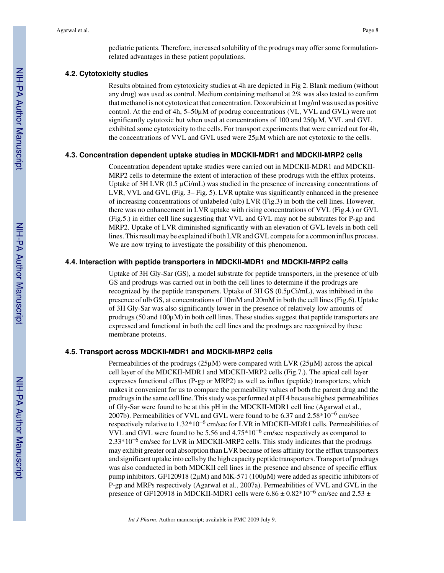pediatric patients. Therefore, increased solubility of the prodrugs may offer some formulationrelated advantages in these patient populations.

#### **4.2. Cytotoxicity studies**

Results obtained from cytotoxicity studies at 4h are depicted in Fig 2. Blank medium (without any drug) was used as control. Medium containing methanol at 2% was also tested to confirm that methanol is not cytotoxic at that concentration. Doxorubicin at 1mg/ml was used as positive control. At the end of 4h, 5–50µM of prodrug concentrations (VL, VVL and GVL) were not significantly cytotoxic but when used at concentrations of 100 and 250µM, VVL and GVL exhibited some cytotoxicity to the cells. For transport experiments that were carried out for 4h, the concentrations of VVL and GVL used were 25µM which are not cytotoxic to the cells.

#### **4.3. Concentration dependent uptake studies in MDCKII-MDR1 and MDCKII-MRP2 cells**

Concentration dependent uptake studies were carried out in MDCKII-MDR1 and MDCKII-MRP2 cells to determine the extent of interaction of these prodrugs with the efflux proteins. Uptake of 3H LVR (0.5 µCi/mL) was studied in the presence of increasing concentrations of LVR, VVL and GVL (Fig. 3– Fig. 5). LVR uptake was significantly enhanced in the presence of increasing concentrations of unlabeled (ulb) LVR (Fig.3) in both the cell lines. However, there was no enhancement in LVR uptake with rising concentrations of VVL (Fig.4.) or GVL (Fig.5.) in either cell line suggesting that VVL and GVL may not be substrates for P-gp and MRP2. Uptake of LVR diminished significantly with an elevation of GVL levels in both cell lines. This result may be explained if both LVR and GVL compete for a common influx process. We are now trying to investigate the possibility of this phenomenon.

#### **4.4. Interaction with peptide transporters in MDCKII-MDR1 and MDCKII-MRP2 cells**

Uptake of 3H Gly-Sar (GS), a model substrate for peptide transporters, in the presence of ulb GS and prodrugs was carried out in both the cell lines to determine if the prodrugs are recognized by the peptide transporters. Uptake of 3H GS (0.5µCi/mL), was inhibited in the presence of ulb GS, at concentrations of 10mM and 20mM in both the cell lines (Fig.6). Uptake of 3H Gly-Sar was also significantly lower in the presence of relatively low amounts of prodrugs  $(50 \text{ and } 100 \mu\text{M})$  in both cell lines. These studies suggest that peptide transporters are expressed and functional in both the cell lines and the prodrugs are recognized by these membrane proteins.

#### **4.5. Transport across MDCKII-MDR1 and MDCKII-MRP2 cells**

Permeabilities of the prodrugs  $(25\mu)$  were compared with LVR  $(25\mu)$  across the apical cell layer of the MDCKII-MDR1 and MDCKII-MRP2 cells (Fig.7.). The apical cell layer expresses functional efflux (P-gp or MRP2) as well as influx (peptide) transporters; which makes it convenient for us to compare the permeability values of both the parent drug and the prodrugs in the same cell line. This study was performed at pH 4 because highest permeabilities of Gly-Sar were found to be at this pH in the MDCKII-MDR1 cell line (Agarwal et al., 2007b). Permeabilities of VVL and GVL were found to be 6.37 and  $2.58*10^{-6}$  cm/sec respectively relative to 1.32\*10<sup>-6</sup> cm/sec for LVR in MDCKII-MDR1 cells. Permeabilities of VVL and GVL were found to be 5.56 and  $4.75*10^{-6}$  cm/sec respectively as compared to 2.33\*10<sup>-6</sup> cm/sec for LVR in MDCKII-MRP2 cells. This study indicates that the prodrugs may exhibit greater oral absorption than LVR because of less affinity for the efflux transporters and significant uptake into cells by the high capacity peptide transporters. Transport of prodrugs was also conducted in both MDCKII cell lines in the presence and absence of specific efflux pump inhibitors. GF120918 (2 $\mu$ M) and MK-571 (100 $\mu$ M) were added as specific inhibitors of P-gp and MRPs respectively (Agarwal et al., 2007a). Permeabilities of VVL and GVL in the presence of GF120918 in MDCKII-MDR1 cells were  $6.86 \pm 0.82^*10^{-6}$  cm/sec and  $2.53 \pm$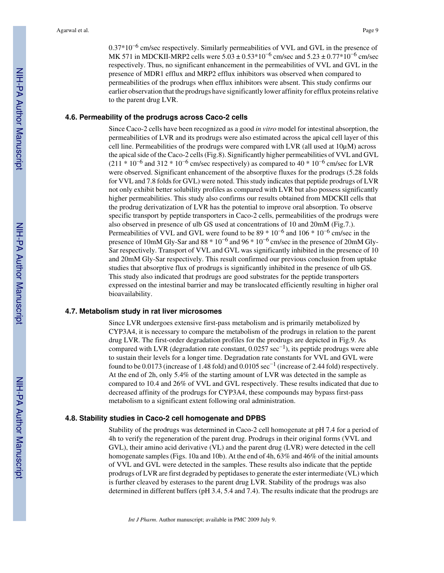0.37\*10<sup>-6</sup> cm/sec respectively. Similarly permeabilities of VVL and GVL in the presence of MK 571 in MDCKII-MRP2 cells were  $5.03 \pm 0.53*10^{-6}$  cm/sec and  $5.23 \pm 0.77*10^{-6}$  cm/sec respectively. Thus, no significant enhancement in the permeabilities of VVL and GVL in the presence of MDR1 efflux and MRP2 efflux inhibitors was observed when compared to permeabilities of the prodrugs when efflux inhibitors were absent. This study confirms our earlier observation that the prodrugs have significantly lower affinity for efflux proteins relative to the parent drug LVR.

#### **4.6. Permeability of the prodrugs across Caco-2 cells**

Since Caco-2 cells have been recognized as a good *in vitro* model for intestinal absorption, the permeabilities of LVR and its prodrugs were also estimated across the apical cell layer of this cell line. Permeabilities of the prodrugs were compared with LVR (all used at  $10\mu$ M) across the apical side of the Caco-2 cells (Fig.8). Significantly higher permeabilities of VVL and GVL (211 \* 10<sup>-6</sup> and 312 \* 10<sup>-6</sup> cm/sec respectively) as compared to 40 \* 10<sup>-6</sup> cm/sec for LVR were observed. Significant enhancement of the absorptive fluxes for the prodrugs (5.28 folds for VVL and 7.8 folds for GVL) were noted. This study indicates that peptide prodrugs of LVR not only exhibit better solubility profiles as compared with LVR but also possess significantly higher permeabilities. This study also confirms our results obtained from MDCKII cells that the prodrug derivatization of LVR has the potential to improve oral absorption. To observe specific transport by peptide transporters in Caco-2 cells, permeabilities of the prodrugs were also observed in presence of ulb GS used at concentrations of 10 and 20mM (Fig.7.). Permeabilities of VVL and GVL were found to be  $89 * 10^{-6}$  and  $106 * 10^{-6}$  cm/sec in the presence of 10mM Gly-Sar and 88  $*10^{-6}$  and 96  $*10^{-6}$  cm/sec in the presence of 20mM Gly-Sar respectively. Transport of VVL and GVL was significantly inhibited in the presence of 10 and 20mM Gly-Sar respectively. This result confirmed our previous conclusion from uptake studies that absorptive flux of prodrugs is significantly inhibited in the presence of ulb GS. This study also indicated that prodrugs are good substrates for the peptide transporters expressed on the intestinal barrier and may be translocated efficiently resulting in higher oral bioavailability.

#### **4.7. Metabolism study in rat liver microsomes**

Since LVR undergoes extensive first-pass metabolism and is primarily metabolized by CYP3A4, it is necessary to compare the metabolism of the prodrugs in relation to the parent drug LVR. The first-order degradation profiles for the prodrugs are depicted in Fig.9. As compared with LVR (degradation rate constant,  $0.0257 \text{ sec}^{-1}$ ), its peptide prodrugs were able to sustain their levels for a longer time. Degradation rate constants for VVL and GVL were found to be 0.0173 (increase of 1.48 fold) and 0.0105  $\sec^{-1}$  (increase of 2.44 fold) respectively. At the end of 2h, only 5.4% of the starting amount of LVR was detected in the sample as compared to 10.4 and 26% of VVL and GVL respectively. These results indicated that due to decreased affinity of the prodrugs for CYP3A4, these compounds may bypass first-pass metabolism to a significant extent following oral administration.

#### **4.8. Stability studies in Caco-2 cell homogenate and DPBS**

Stability of the prodrugs was determined in Caco-2 cell homogenate at pH 7.4 for a period of 4h to verify the regeneration of the parent drug. Prodrugs in their original forms (VVL and GVL), their amino acid derivative (VL) and the parent drug (LVR) were detected in the cell homogenate samples (Figs. 10a and 10b). At the end of 4h, 63% and 46% of the initial amounts of VVL and GVL were detected in the samples. These results also indicate that the peptide prodrugs of LVR are first degraded by peptidases to generate the ester intermediate (VL) which is further cleaved by esterases to the parent drug LVR. Stability of the prodrugs was also determined in different buffers (pH 3.4, 5.4 and 7.4). The results indicate that the prodrugs are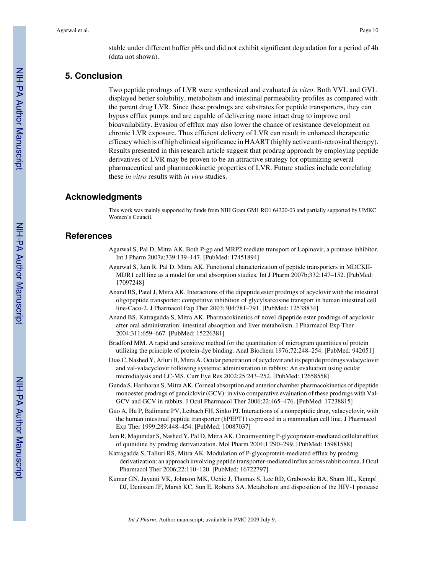stable under different buffer pHs and did not exhibit significant degradation for a period of 4h (data not shown).

## **5. Conclusion**

Two peptide prodrugs of LVR were synthesized and evaluated *in vitro*. Both VVL and GVL displayed better solubility, metabolism and intestinal permeability profiles as compared with the parent drug LVR. Since these prodrugs are substrates for peptide transporters, they can bypass efflux pumps and are capable of delivering more intact drug to improve oral bioavailability. Evasion of efflux may also lower the chance of resistance development on chronic LVR exposure. Thus efficient delivery of LVR can result in enhanced therapeutic efficacy which is of high clinical significance in HAART (highly active anti-retroviral therapy). Results presented in this research article suggest that prodrug approach by employing peptide derivatives of LVR may be proven to be an attractive strategy for optimizing several pharmaceutical and pharmacokinetic properties of LVR. Future studies include correlating these *in vitro* results with *in vivo* studies.

## **Acknowledgments**

This work was mainly supported by funds from NIH Grant GM1 RO1 64320-03 and partially supported by UMKC Women's Council.

## **References**

- Agarwal S, Pal D, Mitra AK. Both P-gp and MRP2 mediate transport of Lopinavir, a protease inhibitor. Int J Pharm 2007a;339:139–147. [PubMed: 17451894]
- Agarwal S, Jain R, Pal D, Mitra AK. Functional characterization of peptide transporters in MDCKII-MDR1 cell line as a model for oral absorption studies. Int J Pharm 2007b;332:147–152. [PubMed: 17097248]
- Anand BS, Patel J, Mitra AK. Interactions of the dipeptide ester prodrugs of acyclovir with the intestinal oligopeptide transporter: competitive inhibition of glycylsarcosine transport in human intestinal cell line-Caco-2. J Pharmacol Exp Ther 2003;304:781–791. [PubMed: 12538834]
- Anand BS, Katragadda S, Mitra AK. Pharmacokinetics of novel dipeptide ester prodrugs of acyclovir after oral administration: intestinal absorption and liver metabolism. J Pharmacol Exp Ther 2004;311:659–667. [PubMed: 15226381]
- Bradford MM. A rapid and sensitive method for the quantitation of microgram quantities of protein utilizing the principle of protein-dye binding. Anal Biochem 1976;72:248–254. [PubMed: 942051]
- Dias C, Nashed Y, Atluri H, Mitra A. Ocular penetration of acyclovir and its peptide prodrugs valacyclovir and val-valacyclovir following systemic administration in rabbits: An evaluation using ocular microdialysis and LC-MS. Curr Eye Res 2002;25:243–252. [PubMed: 12658558]
- Gunda S, Hariharan S, Mitra AK. Corneal absorption and anterior chamber pharmacokinetics of dipeptide monoester prodrugs of ganciclovir (GCV): in vivo comparative evaluation of these prodrugs with Val-GCV and GCV in rabbits. J Ocul Pharmacol Ther 2006;22:465–476. [PubMed: 17238815]
- Guo A, Hu P, Balimane PV, Leibach FH, Sinko PJ. Interactions of a nonpeptidic drug, valacyclovir, with the human intestinal peptide transporter (hPEPT1) expressed in a mammalian cell line. J Pharmacol Exp Ther 1999;289:448–454. [PubMed: 10087037]
- Jain R, Majumdar S, Nashed Y, Pal D, Mitra AK. Circumventing P-glycoprotein-mediated cellular efflux of quinidine by prodrug derivatization. Mol Pharm 2004;1:290–299. [PubMed: 15981588]
- Katragadda S, Talluri RS, Mitra AK. Modulation of P-glycoprotein-mediated efflux by prodrug derivatization: an approach involving peptide transporter-mediated influx across rabbit cornea. J Ocul Pharmacol Ther 2006;22:110–120. [PubMed: 16722797]
- Kumar GN, Jayanti VK, Johnson MK, Uchic J, Thomas S, Lee RD, Grabowski BA, Sham HL, Kempf DJ, Denissen JF, Marsh KC, Sun E, Roberts SA. Metabolism and disposition of the HIV-1 protease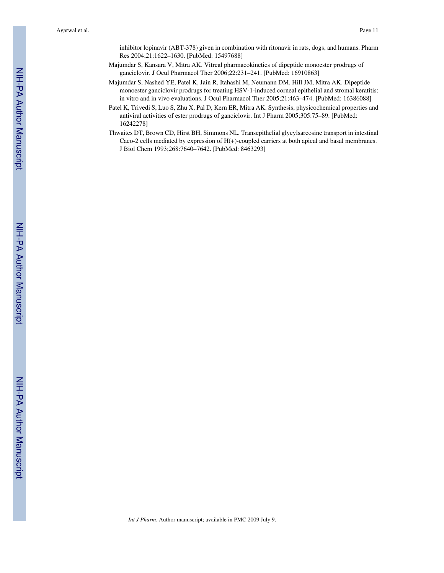inhibitor lopinavir (ABT-378) given in combination with ritonavir in rats, dogs, and humans. Pharm Res 2004;21:1622–1630. [PubMed: 15497688]

- Majumdar S, Kansara V, Mitra AK. Vitreal pharmacokinetics of dipeptide monoester prodrugs of ganciclovir. J Ocul Pharmacol Ther 2006;22:231–241. [PubMed: 16910863]
- Majumdar S, Nashed YE, Patel K, Jain R, Itahashi M, Neumann DM, Hill JM, Mitra AK. Dipeptide monoester ganciclovir prodrugs for treating HSV-1-induced corneal epithelial and stromal keratitis: in vitro and in vivo evaluations. J Ocul Pharmacol Ther 2005;21:463–474. [PubMed: 16386088]
- Patel K, Trivedi S, Luo S, Zhu X, Pal D, Kern ER, Mitra AK. Synthesis, physicochemical properties and antiviral activities of ester prodrugs of ganciclovir. Int J Pharm 2005;305:75–89. [PubMed: 16242278]
- Thwaites DT, Brown CD, Hirst BH, Simmons NL. Transepithelial glycylsarcosine transport in intestinal Caco-2 cells mediated by expression of  $H(+)$ -coupled carriers at both apical and basal membranes. J Biol Chem 1993;268:7640–7642. [PubMed: 8463293]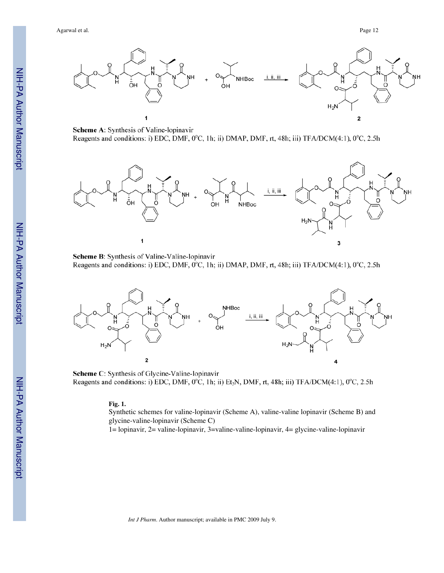Agarwal et al. Page 12



Scheme A: Synthesis of Valine-lopinavir Reagents and conditions: i) EDC, DMF, 0°C, 1h; ii) DMAP, DMF, rt, 48h; iii) TFA/DCM(4:1), 0°C, 2.5h



Scheme B: Synthesis of Valine-Valine-lopinavir Reagents and conditions: i) EDC, DMF, 0°C, 1h; ii) DMAP, DMF, rt, 48h; iii) TFA/DCM(4:1), 0°C, 2.5h



Scheme C: Synthesis of Glycine-Valine-lopinavir Reagents and conditions: i) EDC, DMF, 0°C, 1h; ii) Et<sub>3</sub>N, DMF, rt, 48h; iii) TFA/DCM(4:1), 0°C, 2.5h

#### **Fig. 1.**

Synthetic schemes for valine-lopinavir (Scheme A), valine-valine lopinavir (Scheme B) and glycine-valine-lopinavir (Scheme C)

1= lopinavir, 2= valine-lopinavir, 3=valine-valine-lopinavir, 4= glycine-valine-lopinavir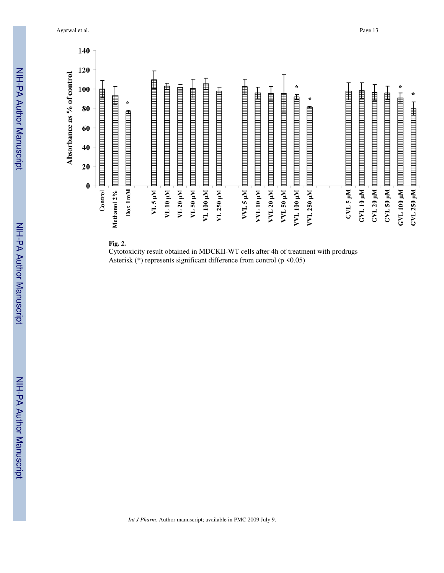Agarwal et al. Page 13



**Fig. 2.**

Cytotoxicity result obtained in MDCKII-WT cells after 4h of treatment with prodrugs Asterisk (\*) represents significant difference from control (p <0.05)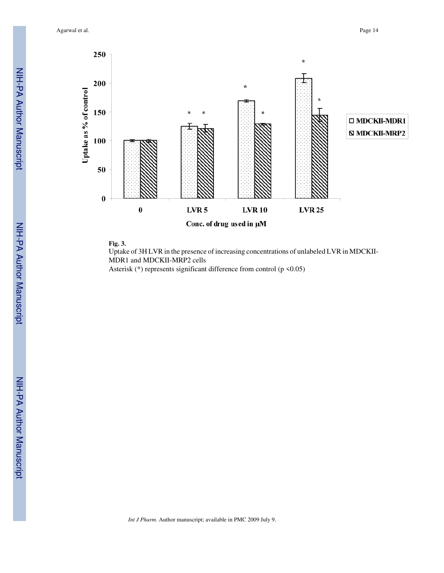Agarwal et al. Page 14



**Fig. 3.**

Uptake of 3H LVR in the presence of increasing concentrations of unlabeled LVR in MDCKII-MDR1 and MDCKII-MRP2 cells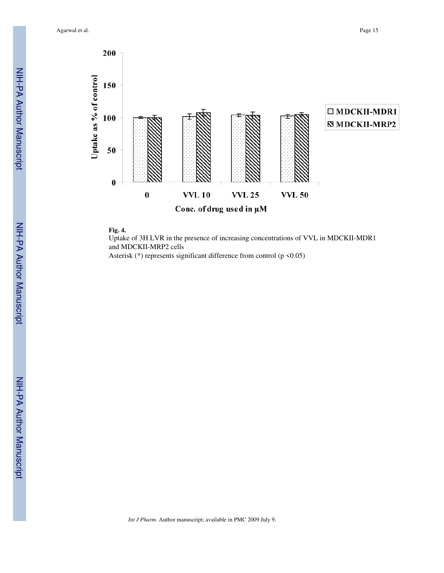Agarwal et al. Page 15



#### **Fig. 4.**

Uptake of 3H LVR in the presence of increasing concentrations of VVL in MDCKII-MDR1 and MDCKII-MRP2 cells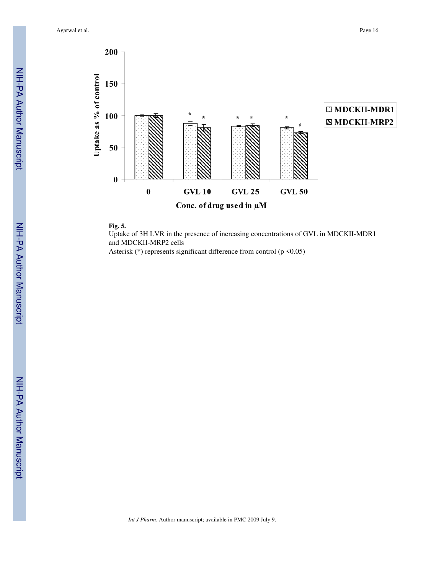Agarwal et al. Page 16





#### **Fig. 5.**

Uptake of 3H LVR in the presence of increasing concentrations of GVL in MDCKII-MDR1 and MDCKII-MRP2 cells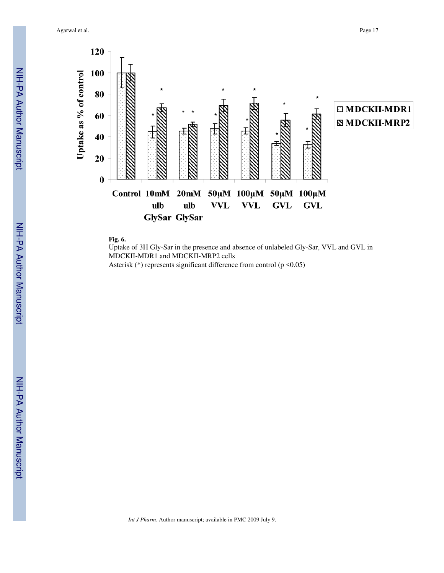Agarwal et al. Page 17





Uptake of 3H Gly-Sar in the presence and absence of unlabeled Gly-Sar, VVL and GVL in MDCKII-MDR1 and MDCKII-MRP2 cells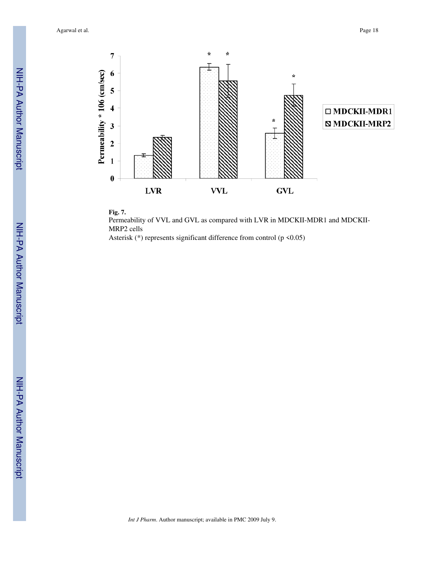Agarwal et al. Page 18





Permeability of VVL and GVL as compared with LVR in MDCKII-MDR1 and MDCKII-MRP2 cells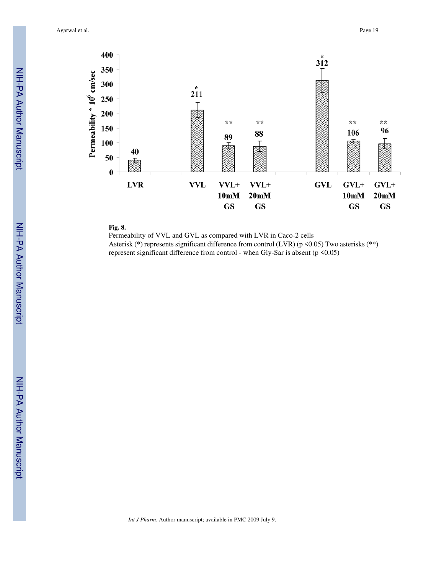Agarwal et al. Page 19



## **Fig. 8.**

Permeability of VVL and GVL as compared with LVR in Caco-2 cells Asterisk (\*) represents significant difference from control (LVR) (p <0.05) Two asterisks (\*\*) represent significant difference from control - when Gly-Sar is absent (p <0.05)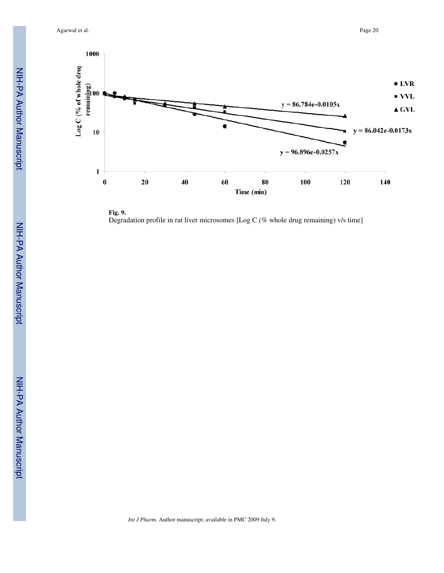Agarwal et al. Page 20